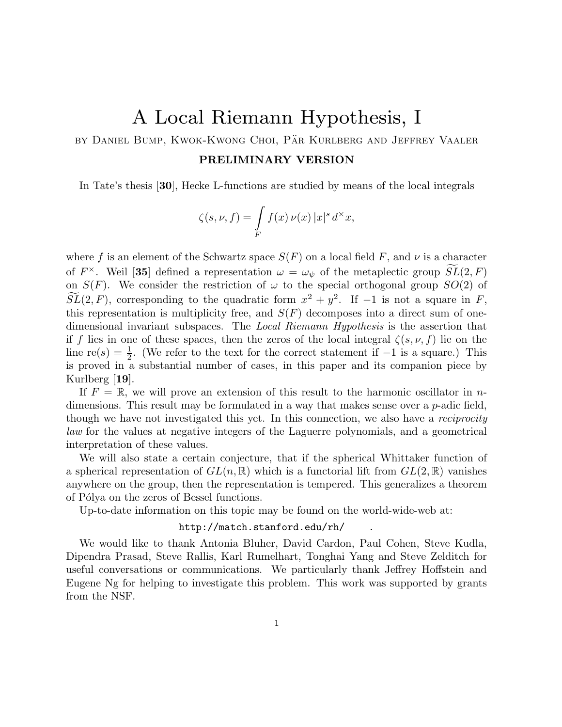## A Local Riemann Hypothesis, I

by Daniel Bump, Kwok-Kwong Choi, Pär Kurlberg and Jeffrey Vaaler

## PRELIMINARY VERSION

In Tate's thesis [30], Hecke L-functions are studied by means of the local integrals

$$
\zeta(s,\nu,f) = \int\limits_F f(x)\,\nu(x)\,|x|^s\,d^\times x,
$$

where f is an element of the Schwartz space  $S(F)$  on a local field F, and  $\nu$  is a character of  $F^{\times}$ . Weil [35] defined a representation  $\omega = \omega_{\psi}$  of the metaplectic group  $\widetilde{SL}(2,F)$ on  $S(F)$ . We consider the restriction of  $\omega$  to the special orthogonal group  $SO(2)$  of  $SL(2, F)$ , corresponding to the quadratic form  $x^2 + y^2$ . If -1 is not a square in F, this representation is multiplicity free, and  $S(F)$  decomposes into a direct sum of onedimensional invariant subspaces. The Local Riemann Hypothesis is the assertion that if f lies in one of these spaces, then the zeros of the local integral  $\zeta(s, \nu, f)$  lie on the line  $re(s) = \frac{1}{2}$  $\frac{1}{2}$ . (We refer to the text for the correct statement if  $-1$  is a square.) This is proved in a substantial number of cases, in this paper and its companion piece by Kurlberg [19].

If  $F = \mathbb{R}$ , we will prove an extension of this result to the harmonic oscillator in ndimensions. This result may be formulated in a way that makes sense over a  $p$ -adic field, though we have not investigated this yet. In this connection, we also have a reciprocity law for the values at negative integers of the Laguerre polynomials, and a geometrical interpretation of these values.

We will also state a certain conjecture, that if the spherical Whittaker function of a spherical representation of  $GL(n,\mathbb{R})$  which is a functorial lift from  $GL(2,\mathbb{R})$  vanishes anywhere on the group, then the representation is tempered. This generalizes a theorem of Pólya on the zeros of Bessel functions.

Up-to-date information on this topic may be found on the world-wide-web at:

## http://match.stanford.edu/rh/ .

We would like to thank Antonia Bluher, David Cardon, Paul Cohen, Steve Kudla, Dipendra Prasad, Steve Rallis, Karl Rumelhart, Tonghai Yang and Steve Zelditch for useful conversations or communications. We particularly thank Jeffrey Hoffstein and Eugene Ng for helping to investigate this problem. This work was supported by grants from the NSF.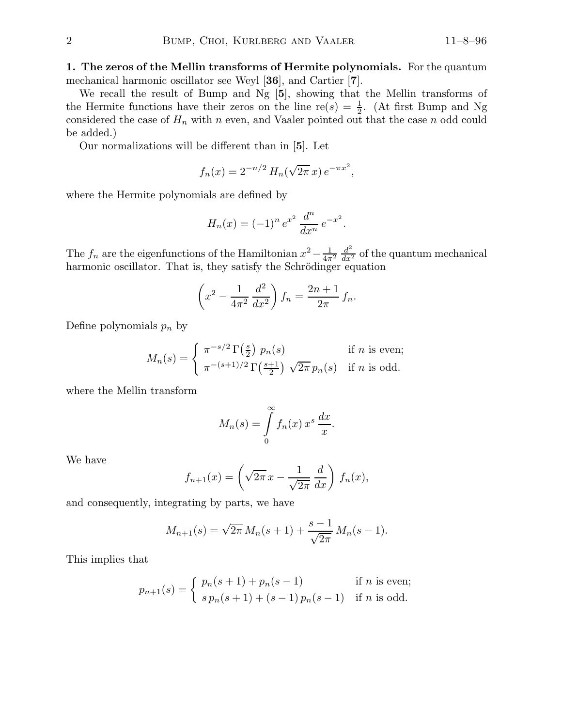1. The zeros of the Mellin transforms of Hermite polynomials. For the quantum mechanical harmonic oscillator see Weyl [36], and Cartier [7].

We recall the result of Bump and Ng [5], showing that the Mellin transforms of the Hermite functions have their zeros on the line re(s) =  $\frac{1}{2}$  $\frac{1}{2}$ . (At first Bump and Ng considered the case of  $H_n$  with n even, and Vaaler pointed out that the case n odd could be added.)

Our normalizations will be different than in [5]. Let

$$
f_n(x) = 2^{-n/2} H_n(\sqrt{2\pi} x) e^{-\pi x^2},
$$

where the Hermite polynomials are defined by

$$
H_n(x) = (-1)^n e^{x^2} \frac{d^n}{dx^n} e^{-x^2}.
$$

The  $f_n$  are the eigenfunctions of the Hamiltonian  $x^2 - \frac{1}{4\pi^2} \frac{d^2}{dx^2}$  of the quantum mechanical harmonic oscillator. That is, they satisfy the Schrödinger equation

$$
\left(x^2 - \frac{1}{4\pi^2} \frac{d^2}{dx^2}\right) f_n = \frac{2n+1}{2\pi} f_n.
$$

Define polynomials  $p_n$  by

$$
M_n(s) = \begin{cases} \pi^{-s/2} \Gamma\left(\frac{s}{2}\right) p_n(s) & \text{if } n \text{ is even;}\\ \pi^{-(s+1)/2} \Gamma\left(\frac{s+1}{2}\right) \sqrt{2\pi} p_n(s) & \text{if } n \text{ is odd.} \end{cases}
$$

where the Mellin transform

$$
M_n(s) = \int\limits_0^\infty f_n(x) x^s \, \frac{dx}{x}.
$$

We have

$$
f_{n+1}(x) = \left(\sqrt{2\pi} x - \frac{1}{\sqrt{2\pi}} \frac{d}{dx}\right) f_n(x),
$$

and consequently, integrating by parts, we have

$$
M_{n+1}(s) = \sqrt{2\pi} M_n(s+1) + \frac{s-1}{\sqrt{2\pi}} M_n(s-1).
$$

This implies that

$$
p_{n+1}(s) = \begin{cases} p_n(s+1) + p_n(s-1) & \text{if } n \text{ is even;}\\ s p_n(s+1) + (s-1) p_n(s-1) & \text{if } n \text{ is odd.} \end{cases}
$$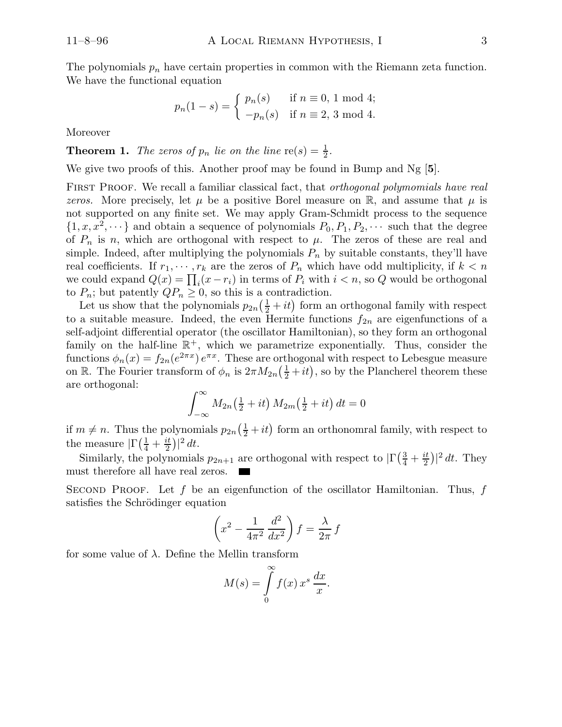The polynomials  $p_n$  have certain properties in common with the Riemann zeta function. We have the functional equation

$$
p_n(1-s) = \begin{cases} p_n(s) & \text{if } n \equiv 0, 1 \text{ mod } 4; \\ -p_n(s) & \text{if } n \equiv 2, 3 \text{ mod } 4. \end{cases}
$$

Moreover

**Theorem 1.** The zeros of  $p_n$  lie on the line  $\text{re}(s) = \frac{1}{2}$  $\frac{1}{2}$ .

We give two proofs of this. Another proof may be found in Bump and  $Ng$  [5].

FIRST PROOF. We recall a familiar classical fact, that *orthogonal polymomials have real* zeros. More precisely, let  $\mu$  be a positive Borel measure on R, and assume that  $\mu$  is not supported on any finite set. We may apply Gram-Schmidt process to the sequence  $\{1, x, x^2, \dots\}$  and obtain a sequence of polynomials  $P_0, P_1, P_2, \dots$  such that the degree of  $P_n$  is n, which are orthogonal with respect to  $\mu$ . The zeros of these are real and simple. Indeed, after multiplying the polynomials  $P_n$  by suitable constants, they'll have real coefficients. If  $r_1, \dots, r_k$  are the zeros of  $P_n$  which have odd multiplicity, if  $k < n$ we could expand  $Q(x) = \prod_i (x - r_i)$  in terms of  $P_i$  with  $i < n$ , so Q would be orthogonal to  $P_n$ ; but patently  $QP_n \geq 0$ , so this is a contradiction.

Let us show that the polynomials  $p_{2n}(\frac{1}{2}+it)$  form an orthogonal family with respect to a suitable measure. Indeed, the even Hermite functions  $f_{2n}$  are eigenfunctions of a self-adjoint differential operator (the oscillator Hamiltonian), so they form an orthogonal family on the half-line  $\mathbb{R}^+$ , which we parametrize exponentially. Thus, consider the functions  $\phi_n(x) = f_{2n}(e^{2\pi x}) e^{\pi x}$ . These are orthogonal with respect to Lebesgue measure on R. The Fourier transform of  $\phi_n$  is  $2\pi M_{2n}(\frac{1}{2}+it)$ , so by the Plancherel theorem these are orthogonal:

$$
\int_{-\infty}^{\infty} M_{2n}\left(\frac{1}{2} + it\right) M_{2m}\left(\frac{1}{2} + it\right) dt = 0
$$

if  $m \neq n$ . Thus the polynomials  $p_{2n}(\frac{1}{2} + it)$  form an orthonomral family, with respect to the measure  $\left| \Gamma \right( \frac{1}{4} + \frac{it}{2} \right|$  $\frac{it}{2})|^2 dt.$ 

Similarly, the polynomials  $p_{2n+1}$  are orthogonal with respect to  $|\Gamma(\frac{3}{4} + \frac{it}{2})|$  $\frac{it}{2})|^2 dt$ . They must therefore all have real zeros.

SECOND PROOF. Let f be an eigenfunction of the oscillator Hamiltonian. Thus, f satisfies the Schrödinger equation

$$
\left(x^2 - \frac{1}{4\pi^2} \frac{d^2}{dx^2}\right) f = \frac{\lambda}{2\pi} f
$$

for some value of λ. Define the Mellin transform

$$
M(s) = \int\limits_0^\cdot f(x) x^s \, \frac{dx}{x}.
$$

 $\infty$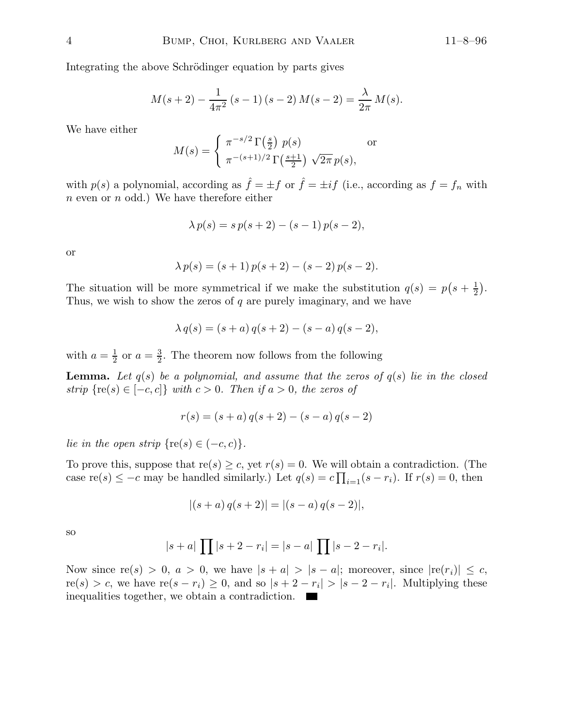Integrating the above Schrödinger equation by parts gives

$$
M(s+2) - \frac{1}{4\pi^2} (s-1) (s-2) M(s-2) = \frac{\lambda}{2\pi} M(s).
$$

We have either

$$
M(s) = \begin{cases} \pi^{-s/2} \Gamma\left(\frac{s}{2}\right) p(s) & \text{or} \\ \pi^{-(s+1)/2} \Gamma\left(\frac{s+1}{2}\right) \sqrt{2\pi} p(s), \end{cases}
$$

with  $p(s)$  a polynomial, according as  $\hat{f} = \pm f$  or  $\hat{f} = \pm if$  (i.e., according as  $f = f_n$  with  $n$  even or  $n$  odd.) We have therefore either

$$
\lambda p(s) = s p(s + 2) - (s - 1) p(s - 2),
$$

or

$$
\lambda p(s) = (s+1) p(s+2) - (s-2) p(s-2).
$$

The situation will be more symmetrical if we make the substitution  $q(s) = p(s + \frac{1}{2})$  $\frac{1}{2}$ . Thus, we wish to show the zeros of  $q$  are purely imaginary, and we have

$$
\lambda q(s) = (s+a) q(s+2) - (s-a) q(s-2),
$$

with  $a=\frac{1}{2}$  $\frac{1}{2}$  or  $a = \frac{3}{2}$  $\frac{3}{2}$ . The theorem now follows from the following

**Lemma.** Let  $q(s)$  be a polynomial, and assume that the zeros of  $q(s)$  lie in the closed strip  $\{re(s) \in [-c, c]\}$  with  $c > 0$ . Then if  $a > 0$ , the zeros of

$$
r(s) = (s+a) q(s+2) - (s-a) q(s-2)
$$

lie in the open strip  $\{re(s) \in (-c, c)\}.$ 

To prove this, suppose that  $\text{re}(s) \geq c$ , yet  $r(s) = 0$ . We will obtain a contradiction. (The case re(s)  $\leq -c$  may be handled similarly.) Let  $q(s) = c \prod_{i=1}(s - r_i)$ . If  $r(s) = 0$ , then

$$
|(s+a) q(s+2)| = |(s-a) q(s-2)|,
$$

so

$$
|s+a|
$$
 $\prod |s+2-r_i| = |s-a|$  $\prod |s-2-r_i|$ .

Now since  $re(s) > 0$ ,  $a > 0$ , we have  $|s + a| > |s - a|$ ; moreover, since  $|re(r_i)| \leq c$ ,  $re(s) > c$ , we have  $re(s - r_i) \geq 0$ , and so  $|s + 2 - r_i| > |s - 2 - r_i|$ . Multiplying these inequalities together, we obtain a contradiction.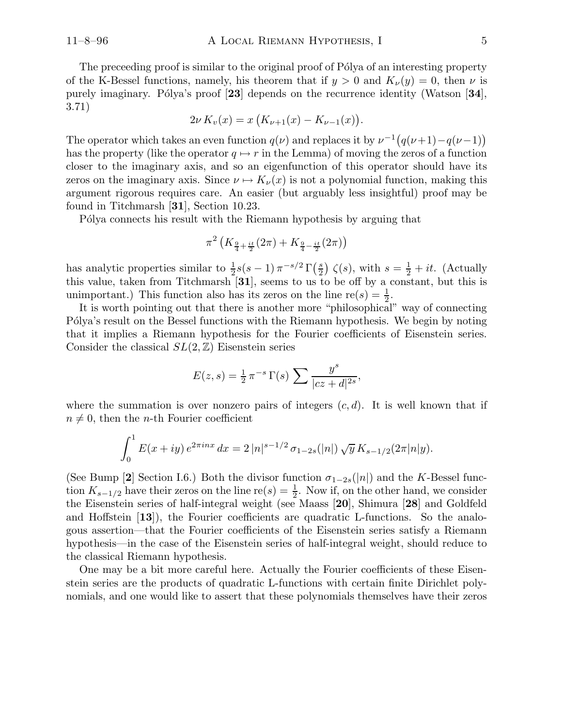The preceeding proof is similar to the original proof of Pólya of an interesting property of the K-Bessel functions, namely, his theorem that if  $y > 0$  and  $K_{\nu}(y) = 0$ , then  $\nu$  is purely imaginary. Pólya's proof  $[23]$  depends on the recurrence identity (Watson  $[34]$ , 3.71)

$$
2\nu K_{\nu}(x) = x \left( K_{\nu+1}(x) - K_{\nu-1}(x) \right).
$$

The operator which takes an even function  $q(\nu)$  and replaces it by  $\nu^{-1}(q(\nu+1)-q(\nu-1))$ has the property (like the operator  $q \mapsto r$  in the Lemma) of moving the zeros of a function closer to the imaginary axis, and so an eigenfunction of this operator should have its zeros on the imaginary axis. Since  $\nu \mapsto K_{\nu}(x)$  is not a polynomial function, making this argument rigorous requires care. An easier (but arguably less insightful) proof may be found in Titchmarsh [31], Section 10.23.

Pólya connects his result with the Riemann hypothesis by arguing that

$$
\pi^2 \left( K_{\frac{9}{4} + \frac{it}{2}}(2\pi) + K_{\frac{9}{4} - \frac{it}{2}}(2\pi) \right)
$$

has analytic properties similar to  $\frac{1}{2}s(s-1)\pi^{-s/2}\Gamma\left(\frac{s}{2}\right)$  $\binom{s}{2}$   $\zeta(s)$ , with  $s = \frac{1}{2} + it$ . (Actually this value, taken from Titchmarsh [31], seems to us to be off by a constant, but this is unimportant.) This function also has its zeros on the line  $\text{re}(s) = \frac{1}{2}$  $\frac{1}{2}$ .

It is worth pointing out that there is another more "philosophical" way of connecting P'olya's result on the Bessel functions with the Riemann hypothesis. We begin by noting that it implies a Riemann hypothesis for the Fourier coefficients of Eisenstein series. Consider the classical  $SL(2, \mathbb{Z})$  Eisenstein series

$$
E(z,s) = \frac{1}{2} \pi^{-s} \Gamma(s) \sum \frac{y^s}{|cz+d|^{2s}},
$$

where the summation is over nonzero pairs of integers  $(c, d)$ . It is well known that if  $n \neq 0$ , then the *n*-th Fourier coefficient

$$
\int_0^1 E(x+iy) e^{2\pi inx} dx = 2 |n|^{s-1/2} \sigma_{1-2s}(|n|) \sqrt{y} K_{s-1/2} (2\pi |n|y).
$$

(See Bump [2] Section I.6.) Both the divisor function  $\sigma_{1-2s}(|n|)$  and the K-Bessel function  $K_{s-1/2}$  have their zeros on the line re $(s) = \frac{1}{2}$  $\frac{1}{2}$ . Now if, on the other hand, we consider the Eisenstein series of half-integral weight (see Maass [20], Shimura [28] and Goldfeld and Hoffstein [13]), the Fourier coefficients are quadratic L-functions. So the analogous assertion—that the Fourier coefficients of the Eisenstein series satisfy a Riemann hypothesis—in the case of the Eisenstein series of half-integral weight, should reduce to the classical Riemann hypothesis.

One may be a bit more careful here. Actually the Fourier coefficients of these Eisenstein series are the products of quadratic L-functions with certain finite Dirichlet polynomials, and one would like to assert that these polynomials themselves have their zeros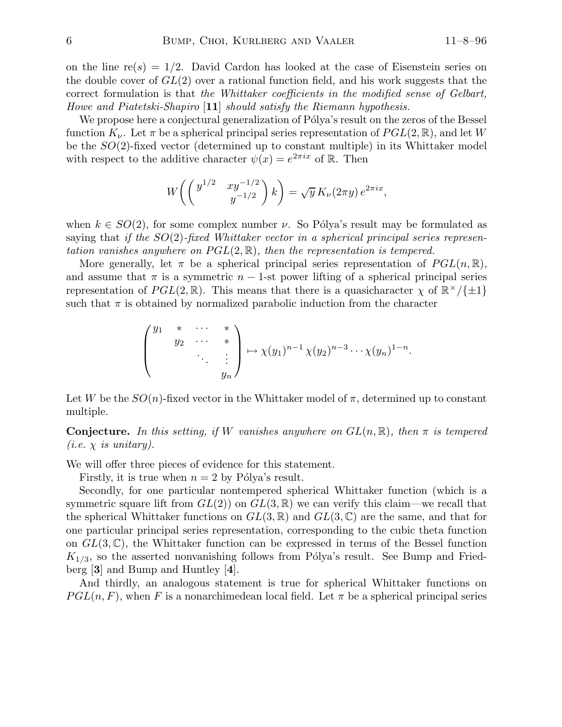on the line  $r(s) = 1/2$ . David Cardon has looked at the case of Eisenstein series on the double cover of  $GL(2)$  over a rational function field, and his work suggests that the correct formulation is that the Whittaker coefficients in the modified sense of Gelbart, Howe and Piatetski-Shapiro [11] should satisfy the Riemann hypothesis.

We propose here a conjectural generalization of Pólya's result on the zeros of the Bessel function  $K_{\nu}$ . Let  $\pi$  be a spherical principal series representation of  $PGL(2,\mathbb{R})$ , and let W be the SO(2)-fixed vector (determined up to constant multiple) in its Whittaker model with respect to the additive character  $\psi(x) = e^{2\pi ix}$  of R. Then

$$
W\bigg(\begin{pmatrix} y^{1/2} & xy^{-1/2} \\ y^{-1/2} & y \end{pmatrix} k\bigg) = \sqrt{y} K_{\nu}(2\pi y) e^{2\pi ix},
$$

when  $k \in SO(2)$ , for some complex number  $\nu$ . So Pólya's result may be formulated as saying that if the  $SO(2)$ -fixed Whittaker vector in a spherical principal series representation vanishes anywhere on  $PGL(2,\mathbb{R})$ , then the representation is tempered.

More generally, let  $\pi$  be a spherical principal series representation of  $PGL(n,\mathbb{R})$ , and assume that  $\pi$  is a symmetric  $n-1$ -st power lifting of a spherical principal series representation of  $PGL(2,\mathbb{R})$ . This means that there is a quasicharacter  $\chi$  of  $\mathbb{R}^{\times}/\{\pm 1\}$ such that  $\pi$  is obtained by normalized parabolic induction from the character

$$
\begin{pmatrix}\ny_1 & * & \cdots & * \\
& y_2 & \cdots & * \\
& & \ddots & \vdots \\
& & & y_n\n\end{pmatrix}\n\mapsto \chi(y_1)^{n-1}\chi(y_2)^{n-3}\cdots\chi(y_n)^{1-n}.
$$

Let W be the  $SO(n)$ -fixed vector in the Whittaker model of  $\pi$ , determined up to constant multiple.

**Conjecture.** In this setting, if W vanishes anywhere on  $GL(n, \mathbb{R})$ , then  $\pi$  is tempered (*i.e.*  $\chi$  *is unitary*).

We will offer three pieces of evidence for this statement.

Firstly, it is true when  $n = 2$  by Pólya's result.

Secondly, for one particular nontempered spherical Whittaker function (which is a symmetric square lift from  $GL(2)$  on  $GL(3,\mathbb{R})$  we can verify this claim—we recall that the spherical Whittaker functions on  $GL(3,\mathbb{R})$  and  $GL(3,\mathbb{C})$  are the same, and that for one particular principal series representation, corresponding to the cubic theta function on  $GL(3,\mathbb{C})$ , the Whittaker function can be expressed in terms of the Bessel function  $K_{1/3}$ , so the asserted nonvanishing follows from Pólya's result. See Bump and Friedberg [3] and Bump and Huntley [4].

And thirdly, an analogous statement is true for spherical Whittaker functions on  $PGL(n, F)$ , when F is a nonarchimedean local field. Let  $\pi$  be a spherical principal series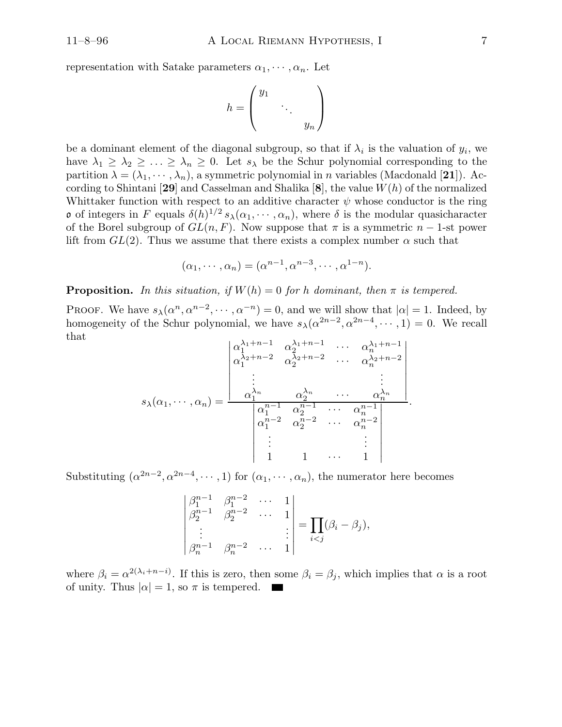representation with Satake parameters  $\alpha_1, \dots, \alpha_n$ . Let

$$
h = \begin{pmatrix} y_1 & & \\ & \ddots & \\ & & y_n \end{pmatrix}
$$

be a dominant element of the diagonal subgroup, so that if  $\lambda_i$  is the valuation of  $y_i$ , we have  $\lambda_1 \geq \lambda_2 \geq \ldots \geq \lambda_n \geq 0$ . Let  $s_\lambda$  be the Schur polynomial corresponding to the partition  $\lambda = (\lambda_1, \dots, \lambda_n)$ , a symmetric polynomial in n variables (Macdonald [21]). According to Shintani [29] and Casselman and Shalika [8], the value  $W(h)$  of the normalized Whittaker function with respect to an additive character  $\psi$  whose conductor is the ring **o** of integers in F equals  $\delta(h)^{1/2} s_\lambda(\alpha_1, \dots, \alpha_n)$ , where  $\delta$  is the modular quasicharacter of the Borel subgroup of  $GL(n, F)$ . Now suppose that  $\pi$  is a symmetric  $n-1$ -st power lift from  $GL(2)$ . Thus we assume that there exists a complex number  $\alpha$  such that

$$
(\alpha_1, \cdots, \alpha_n) = (\alpha^{n-1}, \alpha^{n-3}, \cdots, \alpha^{1-n}).
$$

**Proposition.** In this situation, if  $W(h) = 0$  for h dominant, then  $\pi$  is tempered.

PROOF. We have  $s_{\lambda}(\alpha^n, \alpha^{n-2}, \dots, \alpha^{-n}) = 0$ , and we will show that  $|\alpha| = 1$ . Indeed, by homogeneity of the Schur polynomial, we have  $s_{\lambda}(\alpha^{2n-2}, \alpha^{2n-4}, \cdots, 1) = 0$ . We recall that

$$
s_{\lambda}(\alpha_1, \cdots, \alpha_n) = \frac{\begin{vmatrix} \alpha_1^{\lambda_1+n-1} & \alpha_2^{\lambda_1+n-1} & \cdots & \alpha_n^{\lambda_1+n-1} \\ \alpha_1^{\lambda_2+n-2} & \alpha_2^{\lambda_2+n-2} & \cdots & \alpha_n^{\lambda_2+n-2} \\ \vdots & & & \vdots \\ \alpha_1^{\lambda_n} & \alpha_2^{\lambda_n} & \cdots & \alpha_n^{\lambda_n} \\ \alpha_1^{n-1} & \alpha_2^{n-1} & \cdots & \alpha_n^{n-1} \\ \alpha_1^{n-2} & \alpha_2^{n-2} & \cdots & \alpha_n^{n-2} \\ \vdots & & & \vdots \\ 1 & 1 & \cdots & 1 \end{vmatrix}}{\begin{vmatrix} \alpha_1^{n-1} & \alpha_2^{n-1} & \cdots & \alpha_1^{n-1} \\ \vdots & & & \vdots \\ \alpha_1^{n-2} & \alpha_2^{n-2} & \cdots & \alpha_n^{n-2} \\ \vdots & & & & \vdots \\ 1 & 1 & \cdots & 1 \end{vmatrix}}.
$$

Substituting  $(\alpha^{2n-2}, \alpha^{2n-4}, \dots, 1)$  for  $(\alpha_1, \dots, \alpha_n)$ , the numerator here becomes

$$
\begin{vmatrix} \beta_1^{n-1} & \beta_1^{n-2} & \cdots & 1 \\ \beta_2^{n-1} & \beta_2^{n-2} & \cdots & 1 \\ \vdots & & & \vdots \\ \beta_n^{n-1} & \beta_n^{n-2} & \cdots & 1 \end{vmatrix} = \prod_{i < j} (\beta_i - \beta_j),
$$

where  $\beta_i = \alpha^{2(\lambda_i + n - i)}$ . If this is zero, then some  $\beta_i = \beta_j$ , which implies that  $\alpha$  is a root of unity. Thus  $|\alpha| = 1$ , so  $\pi$  is tempered.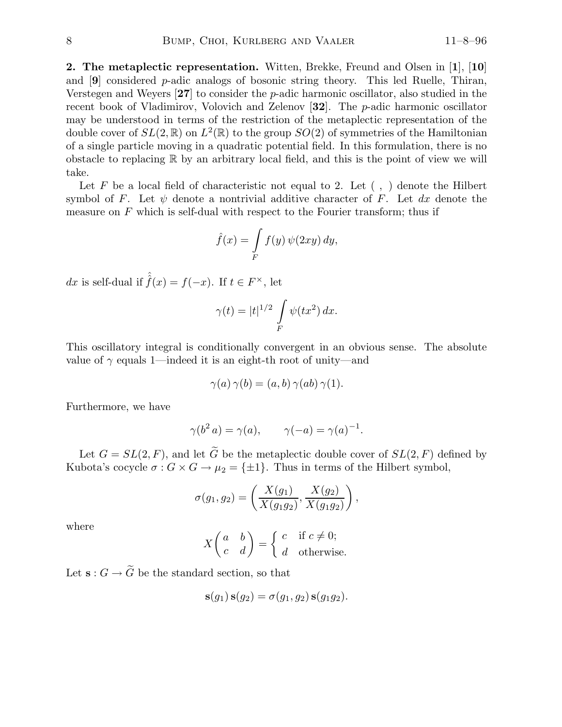2. The metaplectic representation. Witten, Brekke, Freund and Olsen in [1], [10] and  $[9]$  considered p-adic analogs of bosonic string theory. This led Ruelle, Thiran, Verstegen and Weyers  $\mathbf{27}$  to consider the *p*-adic harmonic oscillator, also studied in the recent book of Vladimirov, Volovich and Zelenov  $[32]$ . The *p*-adic harmonic oscillator may be understood in terms of the restriction of the metaplectic representation of the double cover of  $SL(2,\mathbb{R})$  on  $L^2(\mathbb{R})$  to the group  $SO(2)$  of symmetries of the Hamiltonian of a single particle moving in a quadratic potential field. In this formulation, there is no obstacle to replacing  $\mathbb R$  by an arbitrary local field, and this is the point of view we will take.

Let F be a local field of characteristic not equal to 2. Let  $( , )$  denote the Hilbert symbol of F. Let  $\psi$  denote a nontrivial additive character of F. Let dx denote the measure on  $F$  which is self-dual with respect to the Fourier transform; thus if

$$
\hat{f}(x) = \int\limits_F f(y) \, \psi(2xy) \, dy,
$$

dx is self-dual if  $\hat{f}(x) = f(-x)$ . If  $t \in F^{\times}$ , let

$$
\gamma(t) = |t|^{1/2} \int\limits_F \psi(tx^2) dx.
$$

This oscillatory integral is conditionally convergent in an obvious sense. The absolute value of  $\gamma$  equals 1—indeed it is an eight-th root of unity—and

$$
\gamma(a)\,\gamma(b)=(a,b)\,\gamma(ab)\,\gamma(1).
$$

Furthermore, we have

$$
\gamma(b^2 a) = \gamma(a), \qquad \gamma(-a) = \gamma(a)^{-1}.
$$

Let  $G = SL(2, F)$ , and let  $\widetilde{G}$  be the metaplectic double cover of  $SL(2, F)$  defined by Kubota's cocycle  $\sigma: G \times G \to \mu_2 = \{\pm 1\}$ . Thus in terms of the Hilbert symbol,

$$
\sigma(g_1, g_2) = \left(\frac{X(g_1)}{X(g_1g_2)}, \frac{X(g_2)}{X(g_1g_2)}\right),\,
$$

where

$$
X\begin{pmatrix} a & b \\ c & d \end{pmatrix} = \begin{cases} c & \text{if } c \neq 0; \\ d & \text{otherwise.} \end{cases}
$$

Let  $\mathbf{s}:G\to \widetilde{G}$  be the standard section, so that

$$
\mathbf{s}(g_1)\,\mathbf{s}(g_2)=\sigma(g_1,g_2)\,\mathbf{s}(g_1g_2).
$$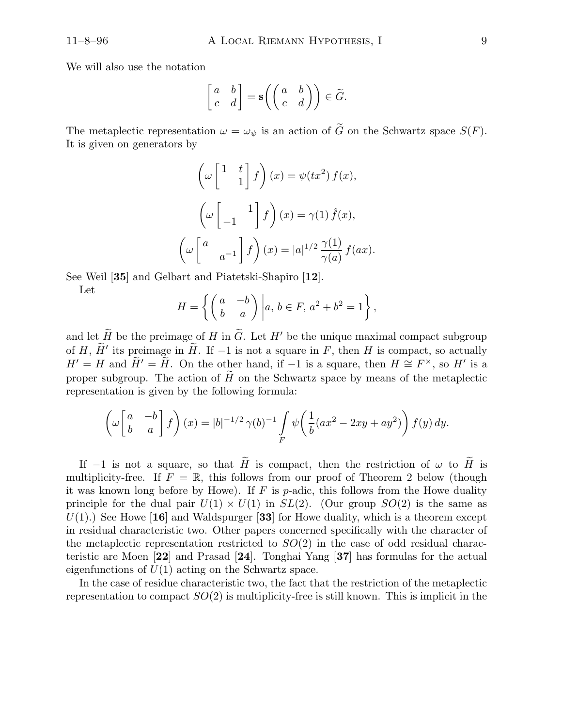We will also use the notation

$$
\begin{bmatrix} a & b \\ c & d \end{bmatrix} = \mathbf{s} \left( \begin{pmatrix} a & b \\ c & d \end{pmatrix} \right) \in \widetilde{G}.
$$

The metaplectic representation  $\omega = \omega_{\psi}$  is an action of  $\tilde{G}$  on the Schwartz space  $S(F)$ . It is given on generators by

$$
\left(\omega \begin{bmatrix} 1 & t \\ & 1 \end{bmatrix} f\right)(x) = \psi(tx^2) f(x),
$$

$$
\left(\omega \begin{bmatrix} 1 & 1 \\ -1 & \end{bmatrix} f\right)(x) = \gamma(1) \hat{f}(x),
$$

$$
\left(\omega \begin{bmatrix} a & \\ & a^{-1} \end{bmatrix} f\right)(x) = |a|^{1/2} \frac{\gamma(1)}{\gamma(a)} f(ax).
$$

See Weil [35] and Gelbart and Piatetski-Shapiro [12].

Let

$$
H = \left\{ \begin{pmatrix} a & -b \\ b & a \end{pmatrix} \middle| a, b \in F, a^2 + b^2 = 1 \right\},\
$$

and let  $\widetilde{H}$  be the preimage of H in  $\widetilde{G}$ . Let H' be the unique maximal compact subgroup of H,  $\widetilde{H}'$  its preimage in  $\widetilde{H}$ . If  $-1$  is not a square in F, then H is compact, so actually  $H' = H$  and  $\widetilde{H}' = \widetilde{H}$ . On the other hand, if -1 is a square, then  $H \cong F^{\times}$ , so  $H'$  is a proper subgroup. The action of  $\tilde{H}$  on the Schwartz space by means of the metaplectic representation is given by the following formula:

$$
\left(\omega\begin{bmatrix} a & -b \\ b & a \end{bmatrix} f\right)(x) = |b|^{-1/2} \gamma(b)^{-1} \int\limits_F \psi\left(\frac{1}{b}(ax^2 - 2xy + ay^2)\right) f(y) \, dy.
$$

If −1 is not a square, so that  $\tilde{H}$  is compact, then the restriction of  $\omega$  to  $\tilde{H}$  is multiplicity-free. If  $F = \mathbb{R}$ , this follows from our proof of Theorem 2 below (though it was known long before by Howe). If  $F$  is p-adic, this follows from the Howe duality principle for the dual pair  $U(1) \times U(1)$  in  $SL(2)$ . (Our group  $SO(2)$  is the same as  $U(1)$ .) See Howe [16] and Waldspurger [33] for Howe duality, which is a theorem except in residual characteristic two. Other papers concerned specifically with the character of the metaplectic representation restricted to  $SO(2)$  in the case of odd residual characteristic are Moen [22] and Prasad [24]. Tonghai Yang [37] has formulas for the actual eigenfunctions of  $U(1)$  acting on the Schwartz space.

In the case of residue characteristic two, the fact that the restriction of the metaplectic representation to compact  $SO(2)$  is multiplicity-free is still known. This is implicit in the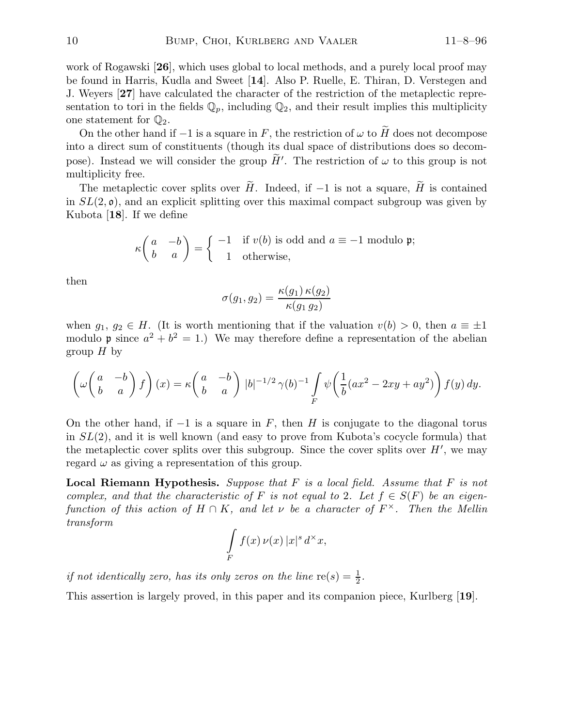work of Rogawski **[26]**, which uses global to local methods, and a purely local proof may be found in Harris, Kudla and Sweet [14]. Also P. Ruelle, E. Thiran, D. Verstegen and J. Weyers [27] have calculated the character of the restriction of the metaplectic representation to tori in the fields  $\mathbb{Q}_p$ , including  $\mathbb{Q}_2$ , and their result implies this multiplicity one statement for  $\mathbb{Q}_2$ .

On the other hand if  $-1$  is a square in F, the restriction of  $\omega$  to  $\tilde{H}$  does not decompose into a direct sum of constituents (though its dual space of distributions does so decompose). Instead we will consider the group  $\tilde{H}'$ . The restriction of  $\omega$  to this group is not multiplicity free.

The metaplectic cover splits over  $\tilde{H}$ . Indeed, if −1 is not a square,  $\tilde{H}$  is contained in  $SL(2, \mathfrak{o})$ , and an explicit splitting over this maximal compact subgroup was given by Kubota [18]. If we define

$$
\kappa \begin{pmatrix} a & -b \\ b & a \end{pmatrix} = \begin{cases} -1 & \text{if } v(b) \text{ is odd and } a \equiv -1 \text{ modulo } \mathfrak{p}; \\ 1 & \text{otherwise,} \end{cases}
$$

then

$$
\sigma(g_1, g_2) = \frac{\kappa(g_1) \,\kappa(g_2)}{\kappa(g_1 \, g_2)}
$$

when  $g_1, g_2 \in H$ . (It is worth mentioning that if the valuation  $v(b) > 0$ , then  $a \equiv \pm 1$ modulo **p** since  $a^2 + b^2 = 1$ .) We may therefore define a representation of the abelian group  $H$  by

$$
\left(\omega\begin{pmatrix} a & -b \\ b & a \end{pmatrix} f\right)(x) = \kappa \begin{pmatrix} a & -b \\ b & a \end{pmatrix} |b|^{-1/2} \gamma(b)^{-1} \int\limits_F \psi\left(\frac{1}{b}(ax^2 - 2xy + ay^2)\right) f(y) dy.
$$

On the other hand, if  $-1$  is a square in F, then H is conjugate to the diagonal torus in  $SL(2)$ , and it is well known (and easy to prove from Kubota's cocycle formula) that the metaplectic cover splits over this subgroup. Since the cover splits over  $H'$ , we may regard  $\omega$  as giving a representation of this group.

**Local Riemann Hypothesis.** Suppose that  $F$  is a local field. Assume that  $F$  is not complex, and that the characteristic of F is not equal to 2. Let  $f \in S(F)$  be an eigenfunction of this action of  $H \cap K$ , and let  $\nu$  be a character of  $F^{\times}$ . Then the Mellin transform

$$
\int\limits_F f(x) \, \nu(x) \, |x|^s \, d^\times x,
$$

if not identically zero, has its only zeros on the line  $re(s) = \frac{1}{2}$  $\frac{1}{2}$ .

This assertion is largely proved, in this paper and its companion piece, Kurlberg [19].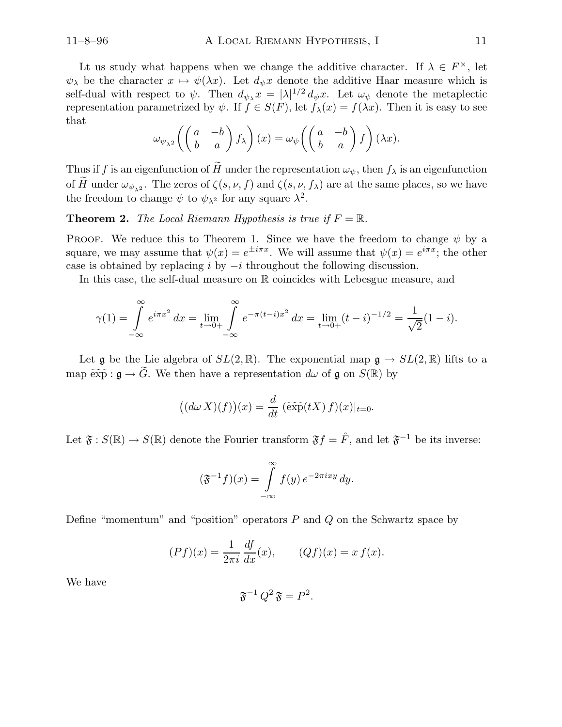Lt us study what happens when we change the additive character. If  $\lambda \in F^{\times}$ , let  $\psi_{\lambda}$  be the character  $x \mapsto \psi(\lambda x)$ . Let  $d_{\psi}x$  denote the additive Haar measure which is self-dual with respect to  $\psi$ . Then  $d_{\psi}x = |\lambda|^{1/2} d_{\psi}x$ . Let  $\omega_{\psi}$  denote the metaplectic representation parametrized by  $\psi$ . If  $\hat{f} \in S(F)$ , let  $f_{\lambda}(x) = f(\lambda x)$ . Then it is easy to see that

$$
\omega_{\psi_{\lambda^2}}\left(\begin{pmatrix} a & -b \\ b & a \end{pmatrix} f_{\lambda}\right)(x) = \omega_{\psi}\left(\begin{pmatrix} a & -b \\ b & a \end{pmatrix} f\right)(\lambda x).
$$

Thus if f is an eigenfunction of  $\widetilde{H}$  under the representation  $\omega_{\psi}$ , then  $f_{\lambda}$  is an eigenfunction of H under  $\omega_{\psi_{\lambda^2}}$ . The zeros of  $\zeta(s,\nu,f)$  and  $\zeta(s,\nu,f_{\lambda})$  are at the same places, so we have the freedom to change  $\psi$  to  $\psi_{\lambda^2}$  for any square  $\lambda^2$ .

**Theorem 2.** The Local Riemann Hypothesis is true if  $F = \mathbb{R}$ .

PROOF. We reduce this to Theorem 1. Since we have the freedom to change  $\psi$  by a square, we may assume that  $\psi(x) = e^{\pm i\pi x}$ . We will assume that  $\psi(x) = e^{i\pi x}$ ; the other case is obtained by replacing i by  $-i$  throughout the following discussion.

In this case, the self-dual measure on R coincides with Lebesgue measure, and

$$
\gamma(1) = \int_{-\infty}^{\infty} e^{i\pi x^2} dx = \lim_{t \to 0+} \int_{-\infty}^{\infty} e^{-\pi (t-i)x^2} dx = \lim_{t \to 0+} (t-i)^{-1/2} = \frac{1}{\sqrt{2}} (1-i).
$$

Let g be the Lie algebra of  $SL(2,\mathbb{R})$ . The exponential map  $\mathfrak{g} \to SL(2,\mathbb{R})$  lifts to a map  $\widetilde{\exp} : \mathfrak{g} \to \widetilde{G}$ . We then have a representation  $d\omega$  of  $\mathfrak{g}$  on  $S(\mathbb{R})$  by

$$
((d\omega X)(f))(x) = \frac{d}{dt} \left( \widetilde{\exp}(tX) f)(x) \right)_{t=0}.
$$

Let  $\mathfrak{F}: S(\mathbb{R}) \to S(\mathbb{R})$  denote the Fourier transform  $\mathfrak{F}f = \hat{F}$ , and let  $\mathfrak{F}^{-1}$  be its inverse:

$$
(\mathfrak{F}^{-1}f)(x) = \int_{-\infty}^{\infty} f(y) e^{-2\pi ixy} dy.
$$

Define "momentum" and "position" operators  $P$  and  $Q$  on the Schwartz space by

$$
(Pf)(x) = \frac{1}{2\pi i} \frac{df}{dx}(x), \qquad (Qf)(x) = x f(x).
$$

We have

$$
\mathfrak{F}^{-1} Q^2 \mathfrak{F} = P^2.
$$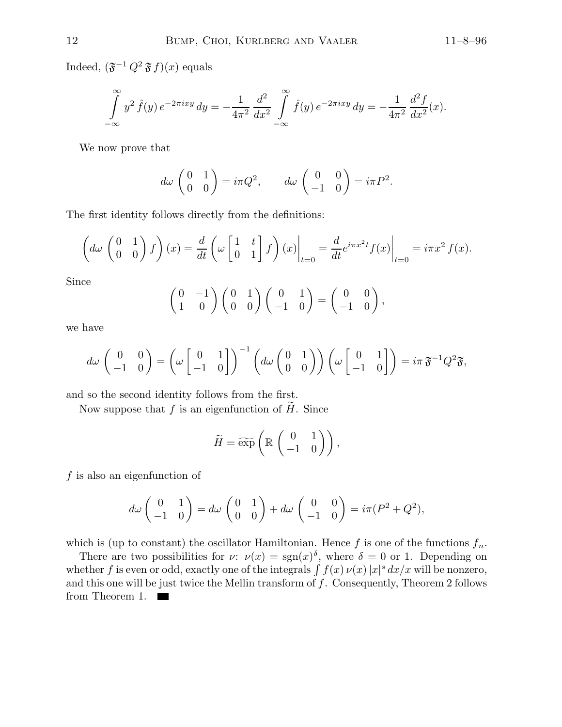Indeed,  $(\mathfrak{F}^{-1} Q^2 \mathfrak{F} f)(x)$  equals

$$
\int_{-\infty}^{\infty} y^2 \hat{f}(y) e^{-2\pi ixy} dy = -\frac{1}{4\pi^2} \frac{d^2}{dx^2} \int_{-\infty}^{\infty} \hat{f}(y) e^{-2\pi ixy} dy = -\frac{1}{4\pi^2} \frac{d^2 f}{dx^2}(x).
$$

We now prove that

$$
d\omega \begin{pmatrix} 0 & 1 \\ 0 & 0 \end{pmatrix} = i\pi Q^2, \qquad d\omega \begin{pmatrix} 0 & 0 \\ -1 & 0 \end{pmatrix} = i\pi P^2.
$$

The first identity follows directly from the definitions:

$$
\left(d\omega\begin{pmatrix}0&1\\0&0\end{pmatrix}f\right)(x) = \frac{d}{dt}\left(\omega\begin{bmatrix}1&t\\0&1\end{bmatrix}f\right)(x)\bigg|_{t=0} = \frac{d}{dt}e^{i\pi x^2t}f(x)\bigg|_{t=0} = i\pi x^2 f(x).
$$

Since

$$
\begin{pmatrix} 0 & -1 \\ 1 & 0 \end{pmatrix} \begin{pmatrix} 0 & 1 \\ 0 & 0 \end{pmatrix} \begin{pmatrix} 0 & 1 \\ -1 & 0 \end{pmatrix} = \begin{pmatrix} 0 & 0 \\ -1 & 0 \end{pmatrix},
$$

we have

$$
d\omega \begin{pmatrix} 0 & 0 \\ -1 & 0 \end{pmatrix} = \left(\omega \begin{bmatrix} 0 & 1 \\ -1 & 0 \end{bmatrix}\right)^{-1} \left(d\omega \begin{pmatrix} 0 & 1 \\ 0 & 0 \end{pmatrix}\right) \left(\omega \begin{bmatrix} 0 & 1 \\ -1 & 0 \end{bmatrix}\right) = i\pi \mathfrak{F}^{-1} Q^2 \mathfrak{F},
$$

and so the second identity follows from the first.

Now suppose that f is an eigenfunction of  $H$ . Since

$$
\widetilde{H} = \widetilde{\exp}\left(\mathbb{R}\left(\begin{array}{cc} 0 & 1 \\ -1 & 0 \end{array}\right)\right),\,
$$

 $f$  is also an eigenfunction of

$$
d\omega \begin{pmatrix} 0 & 1 \\ -1 & 0 \end{pmatrix} = d\omega \begin{pmatrix} 0 & 1 \\ 0 & 0 \end{pmatrix} + d\omega \begin{pmatrix} 0 & 0 \\ -1 & 0 \end{pmatrix} = i\pi (P^2 + Q^2),
$$

which is (up to constant) the oscillator Hamiltonian. Hence f is one of the functions  $f_n$ .

There are two possibilities for  $\nu: \nu(x) = \text{sgn}(x)^{\delta}$ , where  $\delta = 0$  or 1. Depending on whether f is even or odd, exactly one of the integrals  $\int f(x) \nu(x) |x|^s dx/x$  will be nonzero, and this one will be just twice the Mellin transform of  $f$ . Consequently, Theorem 2 follows from Theorem 1.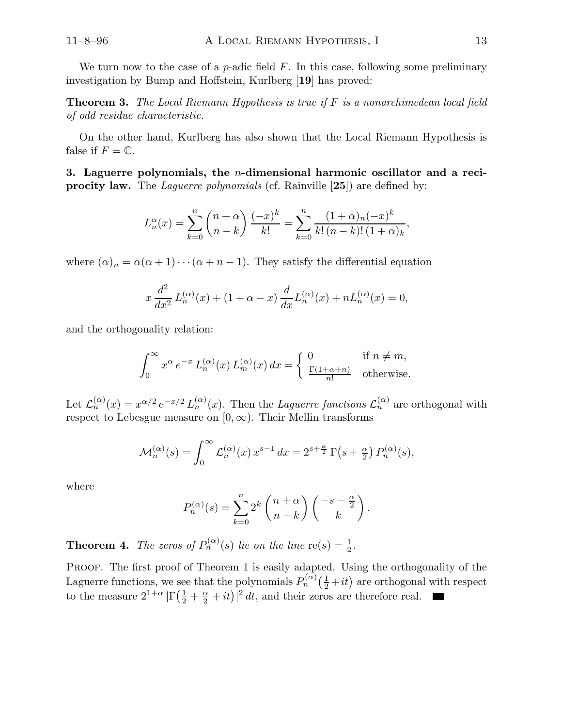We turn now to the case of a  $p$ -adic field  $F$ . In this case, following some preliminary investigation by Bump and Hoffstein, Kurlberg [19] has proved:

**Theorem 3.** The Local Riemann Hypothesis is true if  $F$  is a nonarchimedean local field of odd residue characteristic.

On the other hand, Kurlberg has also shown that the Local Riemann Hypothesis is false if  $F = \mathbb{C}$ .

3. Laguerre polynomials, the n-dimensional harmonic oscillator and a reciprocity law. The Laguerre polynomials (cf. Rainville [25]) are defined by:

$$
L_n^{\alpha}(x) = \sum_{k=0}^n {n+\alpha \choose n-k} \frac{(-x)^k}{k!} = \sum_{k=0}^n \frac{(1+\alpha)_n (-x)^k}{k! (n-k)! (1+\alpha)_k},
$$

where  $(\alpha)_n = \alpha(\alpha + 1) \cdots (\alpha + n - 1)$ . They satisfy the differential equation

$$
x\frac{d^2}{dx^2}L_n^{(\alpha)}(x) + (1+\alpha-x)\frac{d}{dx}L_n^{(\alpha)}(x) + nL_n^{(\alpha)}(x) = 0,
$$

and the orthogonality relation:

$$
\int_0^\infty x^\alpha e^{-x} L_n^{(\alpha)}(x) L_m^{(\alpha)}(x) dx = \begin{cases} 0 & \text{if } n \neq m, \\ \frac{\Gamma(1+\alpha+n)}{n!} & \text{otherwise.} \end{cases}
$$

Let  $\mathcal{L}_n^{(\alpha)}(x) = x^{\alpha/2} e^{-x/2} L_n^{(\alpha)}(x)$ . Then the *Laguerre functions*  $\mathcal{L}_n^{(\alpha)}$  are orthogonal with respect to Lebesgue measure on  $[0, \infty)$ . Their Mellin transforms

$$
\mathcal{M}_n^{(\alpha)}(s) = \int_0^\infty \mathcal{L}_n^{(\alpha)}(x) x^{s-1} dx = 2^{s+\frac{\alpha}{2}} \Gamma(s+\frac{\alpha}{2}) P_n^{(\alpha)}(s),
$$

where

$$
P_n^{(\alpha)}(s) = \sum_{k=0}^n 2^k {n+\alpha \choose n-k} \begin{pmatrix} -s - \frac{\alpha}{2} \\ k \end{pmatrix}.
$$

**Theorem 4.** The zeros of  $P_n^{(\alpha)}(s)$  lie on the line  $\text{re}(s) = \frac{1}{2}$  $\frac{1}{2}$ .

PROOF. The first proof of Theorem 1 is easily adapted. Using the orthogonality of the Laguerre functions, we see that the polynomials  $P_n^{(\alpha)}(\frac{1}{2}+it)$  are orthogonal with respect to the measure  $2^{1+\alpha} |\Gamma(\frac{1}{2} + \frac{\alpha}{2} + it)|^2 dt$ , and their zeros are therefore real.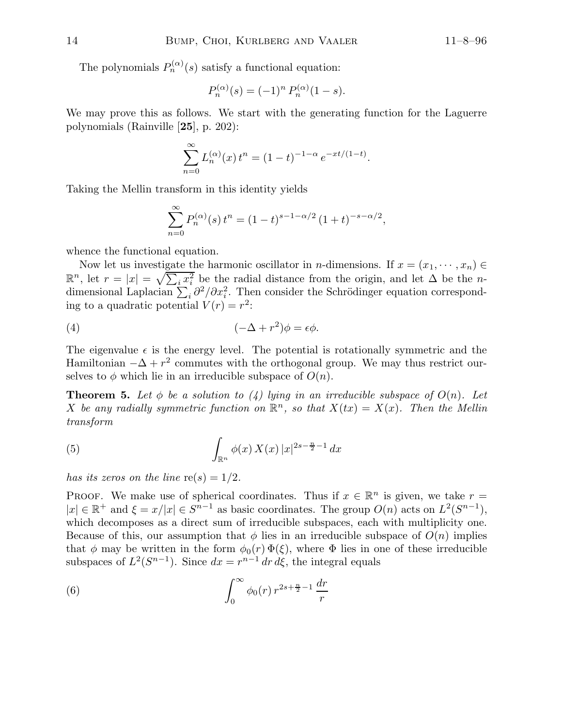The polynomials  $P_n^{(\alpha)}(s)$  satisfy a functional equation:

$$
P_n^{(\alpha)}(s) = (-1)^n P_n^{(\alpha)}(1-s).
$$

We may prove this as follows. We start with the generating function for the Laguerre polynomials (Rainville [25], p. 202):

$$
\sum_{n=0}^{\infty} L_n^{(\alpha)}(x) t^n = (1-t)^{-1-\alpha} e^{-xt/(1-t)}.
$$

Taking the Mellin transform in this identity yields

$$
\sum_{n=0}^{\infty} P_n^{(\alpha)}(s) t^n = (1-t)^{s-1-\alpha/2} (1+t)^{-s-\alpha/2},
$$

whence the functional equation.

Now let us investigate the harmonic oscillator in *n*-dimensions. If  $x = (x_1, \dots, x_n) \in$  $\mathbb{R}^n$ , let  $r = |x| = \sqrt{\sum_i x_i^2}$  be the radial distance from the origin, and let  $\Delta$  be the *n*dimensional Laplacian  $\sum_i \partial^2/\partial x_i^2$ . Then consider the Schrödinger equation corresponding to a quadratic potential  $V(r) = r^2$ :

(4) 
$$
(-\Delta + r^2)\phi = \epsilon \phi.
$$

The eigenvalue  $\epsilon$  is the energy level. The potential is rotationally symmetric and the Hamiltonian  $-\Delta + r^2$  commutes with the orthogonal group. We may thus restrict ourselves to  $\phi$  which lie in an irreducible subspace of  $O(n)$ .

**Theorem 5.** Let  $\phi$  be a solution to (4) lying in an irreducible subspace of  $O(n)$ . Let X be any radially symmetric function on  $\mathbb{R}^n$ , so that  $X(tx) = X(x)$ . Then the Mellin transform

(5) 
$$
\int_{\mathbb{R}^n} \phi(x) X(x) |x|^{2s - \frac{n}{2} - 1} dx
$$

has its zeros on the line  $re(s) = 1/2$ .

PROOF. We make use of spherical coordinates. Thus if  $x \in \mathbb{R}^n$  is given, we take  $r =$  $|x| \in \mathbb{R}^+$  and  $\xi = x/|x| \in S^{n-1}$  as basic coordinates. The group  $O(n)$  acts on  $L^2(S^{n-1})$ , which decomposes as a direct sum of irreducible subspaces, each with multiplicity one. Because of this, our assumption that  $\phi$  lies in an irreducible subspace of  $O(n)$  implies that  $\phi$  may be written in the form  $\phi_0(r) \Phi(\xi)$ , where  $\Phi$  lies in one of these irreducible subspaces of  $L^2(S^{n-1})$ . Since  $dx = r^{n-1} dr d\xi$ , the integral equals

(6) 
$$
\int_0^\infty \phi_0(r) \, r^{2s + \frac{n}{2} - 1} \, \frac{dr}{r}
$$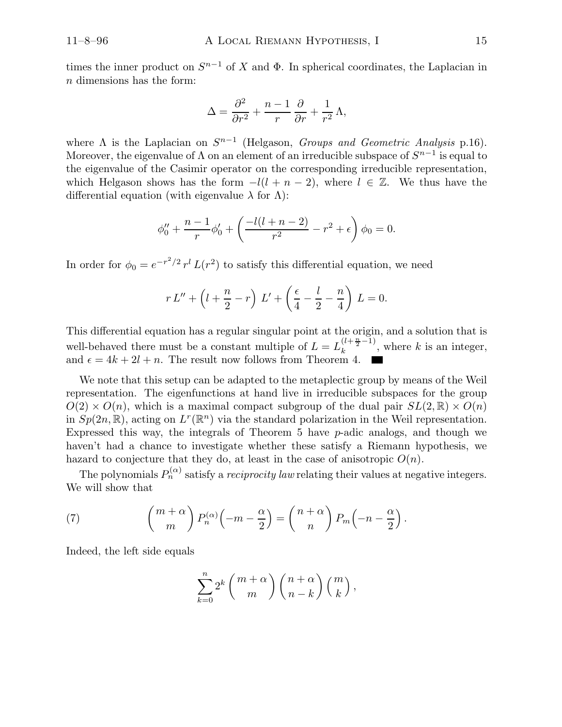times the inner product on  $S^{n-1}$  of X and  $\Phi$ . In spherical coordinates, the Laplacian in n dimensions has the form:

$$
\Delta = \frac{\partial^2}{\partial r^2} + \frac{n-1}{r} \frac{\partial}{\partial r} + \frac{1}{r^2} \Lambda,
$$

where  $\Lambda$  is the Laplacian on  $S^{n-1}$  (Helgason, *Groups and Geometric Analysis* p.16). Moreover, the eigenvalue of  $\Lambda$  on an element of an irreducible subspace of  $S^{n-1}$  is equal to the eigenvalue of the Casimir operator on the corresponding irreducible representation, which Helgason shows has the form  $-l(l + n - 2)$ , where  $l \in \mathbb{Z}$ . We thus have the differential equation (with eigenvalue  $\lambda$  for  $\Lambda$ ):

$$
\phi_0^{\prime\prime}+\frac{n-1}{r}\phi_0^{\prime}+\left(\frac{-l(l+n-2)}{r^2}-r^2+\epsilon\right)\phi_0=0.
$$

In order for  $\phi_0 = e^{-r^2/2} r^l L(r^2)$  to satisfy this differential equation, we need

$$
r L'' + \left(l + \frac{n}{2} - r\right) L' + \left(\frac{\epsilon}{4} - \frac{l}{2} - \frac{n}{4}\right) L = 0.
$$

This differential equation has a regular singular point at the origin, and a solution that is well-behaved there must be a constant multiple of  $L = L_k^{(l + \frac{n}{2} - 1)}$  $\binom{k+2}{k}$ , where k is an integer, and  $\epsilon = 4k + 2l + n$ . The result now follows from Theorem 4.

We note that this setup can be adapted to the metaplectic group by means of the Weil representation. The eigenfunctions at hand live in irreducible subspaces for the group  $O(2) \times O(n)$ , which is a maximal compact subgroup of the dual pair  $SL(2,\mathbb{R}) \times O(n)$ in  $Sp(2n,\mathbb{R})$ , acting on  $L^r(\mathbb{R}^n)$  via the standard polarization in the Weil representation. Expressed this way, the integrals of Theorem  $5$  have  $p$ -adic analogs, and though we haven't had a chance to investigate whether these satisfy a Riemann hypothesis, we hazard to conjecture that they do, at least in the case of anisotropic  $O(n)$ .

The polynomials  $P_n^{(\alpha)}$  satisfy a *reciprocity law* relating their values at negative integers. We will show that

(7) 
$$
{m+\alpha \choose m} P_n^{(\alpha)} \left(-m-\frac{\alpha}{2}\right) = {n+\alpha \choose n} P_m \left(-n-\frac{\alpha}{2}\right).
$$

Indeed, the left side equals

$$
\sum_{k=0}^{n} 2^{k} \binom{m+\alpha}{m} \binom{n+\alpha}{n-k} \binom{m}{k},
$$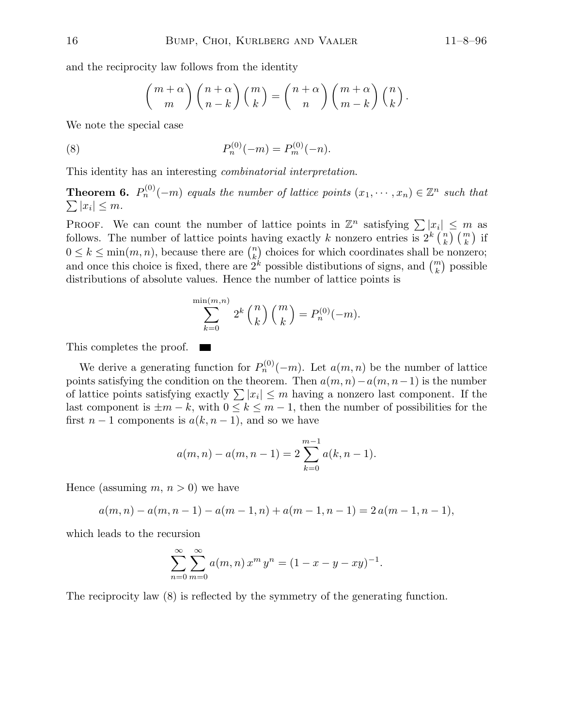and the reciprocity law follows from the identity

$$
\binom{m+\alpha}{m}\binom{n+\alpha}{n-k}\binom{m}{k} = \binom{n+\alpha}{n}\binom{m+\alpha}{m-k}\binom{n}{k}.
$$

We note the special case

(8) 
$$
P_n^{(0)}(-m) = P_m^{(0)}(-n).
$$

This identity has an interesting combinatorial interpretation.

**Theorem 6.**  $P_n^{(0)}(-m)$  equals the number of lattice points  $(x_1, \dots, x_n) \in \mathbb{Z}^n$  such that  $\sum |x_i| \leq m$ .

PROOF. We can count the number of lattice points in  $\mathbb{Z}^n$  satisfying  $\sum |x_i| \leq m$  as follows. The number of lattice points having exactly k nonzero entries is  $2^k \binom{n}{k}$  $\binom{n}{k}$   $\binom{m}{k}$  if  $0 \leq k \leq \min(m, n)$ , because there are  $\binom{n}{k}$  choices for which coordinates shall be nonzero; and once this choice is fixed, there are  $2^k$  possible distibutions of signs, and  $\binom{m}{k}$  possible distributions of absolute values. Hence the number of lattice points is

$$
\sum_{k=0}^{\min(m,n)} 2^k {n \choose k} {m \choose k} = P_n^{(0)}(-m).
$$

This completes the proof.

We derive a generating function for  $P_n^{(0)}(-m)$ . Let  $a(m, n)$  be the number of lattice points satisfying the condition on the theorem. Then  $a(m, n) - a(m, n-1)$  is the number of lattice points satisfying exactly  $\sum |x_i| \leq m$  having a nonzero last component. If the last component is  $\pm m - k$ , with  $0 \leq k \leq m - 1$ , then the number of possibilities for the first  $n-1$  components is  $a(k, n-1)$ , and so we have

$$
a(m, n) - a(m, n - 1) = 2 \sum_{k=0}^{m-1} a(k, n - 1).
$$

Hence (assuming  $m, n > 0$ ) we have

$$
a(m, n) - a(m, n - 1) - a(m - 1, n) + a(m - 1, n - 1) = 2 a(m - 1, n - 1),
$$

which leads to the recursion

$$
\sum_{n=0}^{\infty} \sum_{m=0}^{\infty} a(m,n) x^m y^n = (1 - x - y - xy)^{-1}.
$$

The reciprocity law (8) is reflected by the symmetry of the generating function.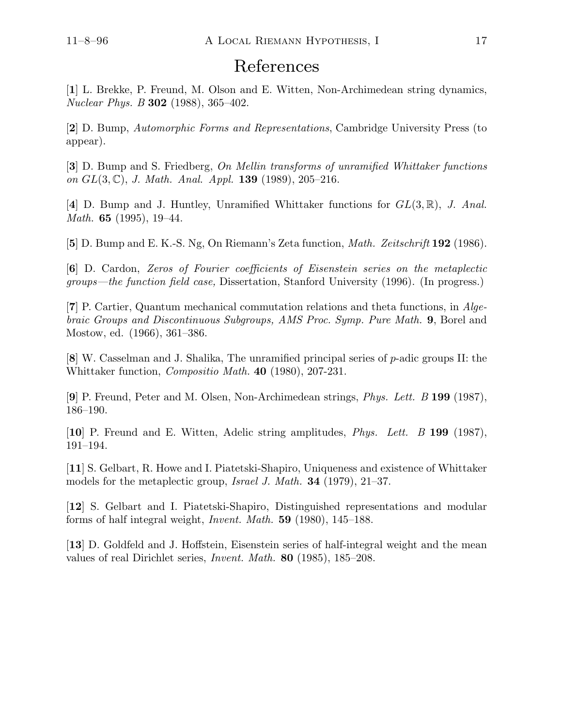## References

[1] L. Brekke, P. Freund, M. Olson and E. Witten, Non-Archimedean string dynamics, Nuclear Phys. B 302 (1988), 365–402.

[2] D. Bump, Automorphic Forms and Representations, Cambridge University Press (to appear).

[3] D. Bump and S. Friedberg, On Mellin transforms of unramified Whittaker functions on  $GL(3, \mathbb{C})$ , J. Math. Anal. Appl. 139 (1989), 205-216.

[4] D. Bump and J. Huntley, Unramified Whittaker functions for  $GL(3,\mathbb{R})$ , J. Anal. Math. 65 (1995), 19–44.

[5] D. Bump and E. K.-S. Ng, On Riemann's Zeta function, Math. Zeitschrift 192 (1986).

[6] D. Cardon, Zeros of Fourier coefficients of Eisenstein series on the metaplectic groups—the function field case, Dissertation, Stanford University (1996). (In progress.)

[7] P. Cartier, Quantum mechanical commutation relations and theta functions, in Algebraic Groups and Discontinuous Subgroups, AMS Proc. Symp. Pure Math. 9, Borel and Mostow, ed. (1966), 361–386.

[8] W. Casselman and J. Shalika, The unramified principal series of p-adic groups II: the Whittaker function, Compositio Math. 40 (1980), 207-231.

[9] P. Freund, Peter and M. Olsen, Non-Archimedean strings, Phys. Lett. B 199 (1987), 186–190.

[10] P. Freund and E. Witten, Adelic string amplitudes, Phys. Lett. B 199 (1987), 191–194.

[11] S. Gelbart, R. Howe and I. Piatetski-Shapiro, Uniqueness and existence of Whittaker models for the metaplectic group, Israel J. Math. 34 (1979), 21–37.

[12] S. Gelbart and I. Piatetski-Shapiro, Distinguished representations and modular forms of half integral weight, Invent. Math. 59 (1980), 145–188.

[13] D. Goldfeld and J. Hoffstein, Eisenstein series of half-integral weight and the mean values of real Dirichlet series, Invent. Math. 80 (1985), 185–208.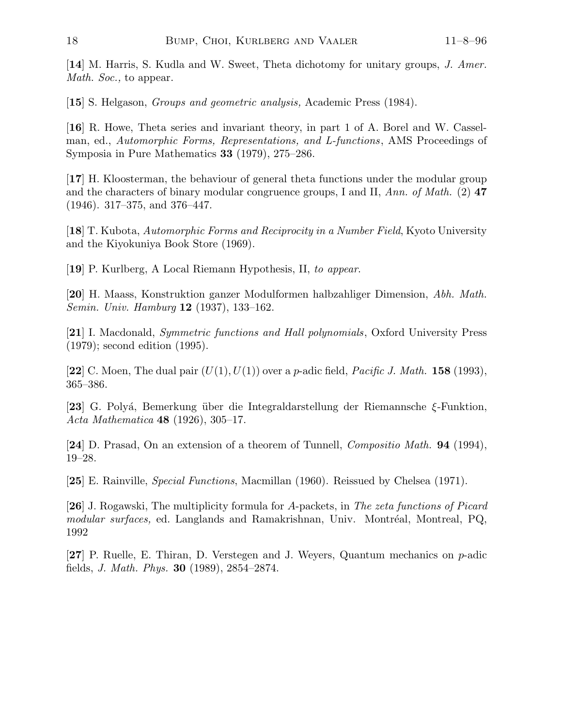[14] M. Harris, S. Kudla and W. Sweet, Theta dichotomy for unitary groups, J. Amer. Math. Soc., to appear.

[15] S. Helgason, Groups and geometric analysis, Academic Press (1984).

[16] R. Howe, Theta series and invariant theory, in part 1 of A. Borel and W. Casselman, ed., Automorphic Forms, Representations, and L-functions, AMS Proceedings of Symposia in Pure Mathematics 33 (1979), 275–286.

[17] H. Kloosterman, the behaviour of general theta functions under the modular group and the characters of binary modular congruence groups, I and II, Ann. of Math. (2)  $47$ (1946). 317–375, and 376–447.

[18] T. Kubota, Automorphic Forms and Reciprocity in a Number Field, Kyoto University and the Kiyokuniya Book Store (1969).

[19] P. Kurlberg, A Local Riemann Hypothesis, II, to appear.

[20] H. Maass, Konstruktion ganzer Modulformen halbzahliger Dimension, Abh. Math. Semin. Univ. Hamburg 12 (1937), 133–162.

[21] I. Macdonald, Symmetric functions and Hall polynomials, Oxford University Press (1979); second edition (1995).

[22] C. Moen, The dual pair  $(U(1), U(1))$  over a p-adic field, *Pacific J. Math.* 158 (1993), 365–386.

[23] G. Polyá, Bemerkung über die Integraldarstellung der Riemannsche  $\xi$ -Funktion, Acta Mathematica 48 (1926), 305–17.

[24] D. Prasad, On an extension of a theorem of Tunnell, Compositio Math. 94 (1994), 19–28.

[25] E. Rainville, Special Functions, Macmillan (1960). Reissued by Chelsea (1971).

[26] J. Rogawski, The multiplicity formula for A-packets, in The zeta functions of Picard modular surfaces, ed. Langlands and Ramakrishnan, Univ. Montréal, Montreal, PQ, 1992

[27] P. Ruelle, E. Thiran, D. Verstegen and J. Weyers, Quantum mechanics on p-adic fields, J. Math. Phys. 30 (1989), 2854–2874.